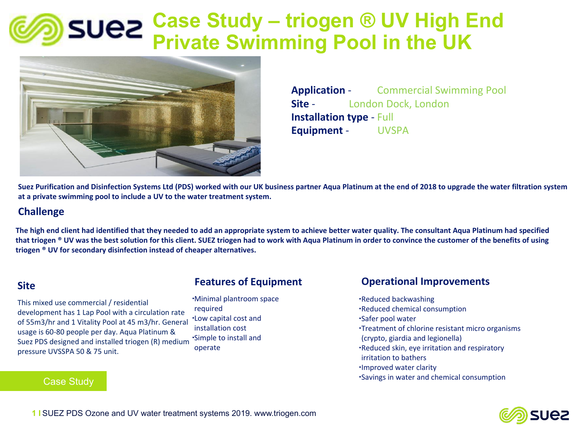## **Case Study – triogen ® UV High End Private Swimming Pool in the UK**



**Application** - Commercial Swimming Pool **Site** *-* London Dock, London **Installation type** - Full **Equipment** - UVSPA

**Suez Purification and Disinfection Systems Ltd (PDS) worked with our UK business partner Aqua Platinum at the end of 2018 to upgrade the water filtration system at a private swimming pool to include a UV to the water treatment system.**

#### **Challenge**

**The high end client had identified that they needed to add an appropriate system to achieve better water quality. The consultant Aqua Platinum had specified that triogen ® UV was the best solution for this client. SUEZ triogen had to work with Aqua Platinum in order to convince the customer of the benefits of using triogen ® UV for secondary disinfection instead of cheaper alternatives.**

#### **Site**

age is 60-80 people per day. Aqua Platinum &<br>ez PDS designed and installed triogen (R) med pressure UVSSPA 50 & 75 unit.<br>. Suez PDS designed and installed triogen (R) medium<br>pressure UVSSPA 50.8, 75 unit This mixed use commercial / residential development has 1 Lap Pool with a circulation rate of 55m3/hr and 1 Vitality Pool at 45 m3/hr. General usage is 60-80 people per day. Aqua Platinum &

#### Case Study

#### **Features of Equipment**

∙Minimal plantroom space required ∙Low capital cost and installation cost ∙Simple to install and operate

#### **Operational Improvements**

∙Reduced backwashing ∙Reduced chemical consumption ∙Safer pool water ∙Treatment of chlorine resistant micro organisms (crypto, giardia and legionella) ∙Reduced skin, eye irritation and respiratory irritation to bathers ∙Improved water clarity ∙Savings in water and chemical consumption